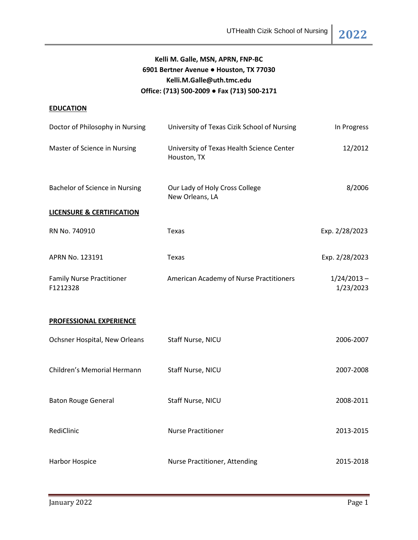# **Kelli M. Galle, MSN, APRN, FNP-BC 6901 Bertner Avenue ● Houston, TX 77030 Kelli.M.Galle@uth.tmc.edu Office: (713) 500-2009 ● Fax (713) 500-2171**

# **EDUCATION**

| Doctor of Philosophy in Nursing              | University of Texas Cizik School of Nursing              | In Progress                |
|----------------------------------------------|----------------------------------------------------------|----------------------------|
| Master of Science in Nursing                 | University of Texas Health Science Center<br>Houston, TX | 12/2012                    |
| <b>Bachelor of Science in Nursing</b>        | Our Lady of Holy Cross College<br>New Orleans, LA        | 8/2006                     |
| <b>LICENSURE &amp; CERTIFICATION</b>         |                                                          |                            |
| RN No. 740910                                | Texas                                                    | Exp. 2/28/2023             |
| APRN No. 123191                              | Texas                                                    | Exp. 2/28/2023             |
| <b>Family Nurse Practitioner</b><br>F1212328 | American Academy of Nurse Practitioners                  | $1/24/2013 -$<br>1/23/2023 |
| <b>PROFESSIONAL EXPERIENCE</b>               |                                                          |                            |
| Ochsner Hospital, New Orleans                | Staff Nurse, NICU                                        | 2006-2007                  |
| Children's Memorial Hermann                  | Staff Nurse, NICU                                        | 2007-2008                  |
| <b>Baton Rouge General</b>                   | Staff Nurse, NICU                                        | 2008-2011                  |
| RediClinic                                   | <b>Nurse Practitioner</b>                                | 2013-2015                  |
| Harbor Hospice                               | Nurse Practitioner, Attending                            | 2015-2018                  |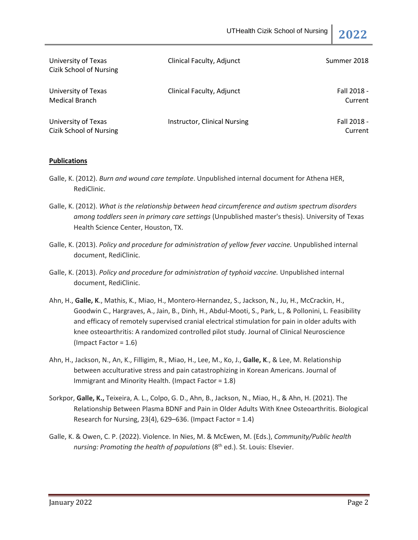| University of Texas<br>Cizik School of Nursing | Clinical Faculty, Adjunct    | Summer 2018            |
|------------------------------------------------|------------------------------|------------------------|
| University of Texas<br>Medical Branch          | Clinical Faculty, Adjunct    | Fall 2018 -<br>Current |
| University of Texas<br>Cizik School of Nursing | Instructor, Clinical Nursing | Fall 2018 -<br>Current |

## **Publications**

- Galle, K. (2012). *Burn and wound care template*. Unpublished internal document for Athena HER, RediClinic.
- Galle, K. (2012). *What is the relationship between head circumference and autism spectrum disorders among toddlers seen in primary care settings* (Unpublished master's thesis). University of Texas Health Science Center, Houston, TX.
- Galle, K. (2013). *Policy and procedure for administration of yellow fever vaccine.* Unpublished internal document, RediClinic.
- Galle, K. (2013). *Policy and procedure for administration of typhoid vaccine*. Unpublished internal document, RediClinic.
- Ahn, H., **Galle, K**., Mathis, K., Miao, H., Montero-Hernandez, S., Jackson, N., Ju, H., McCrackin, H., Goodwin C., Hargraves, A., Jain, B., Dinh, H., Abdul-Mooti, S., Park, L., & Pollonini, L. Feasibility and efficacy of remotely supervised cranial electrical stimulation for pain in older adults with knee osteoarthritis: A randomized controlled pilot study. Journal of Clinical Neuroscience (Impact Factor = 1.6)
- Ahn, H., Jackson, N., An, K., Filligim, R., Miao, H., Lee, M., Ko, J., **Galle, K**., & Lee, M. Relationship between acculturative stress and pain catastrophizing in Korean Americans. Journal of Immigrant and Minority Health. (Impact Factor = 1.8)
- Sorkpor, **Galle, K.,** Teixeira, A. L., Colpo, G. D., Ahn, B., Jackson, N., Miao, H., & Ahn, H. (2021). The Relationship Between Plasma BDNF and Pain in Older Adults With Knee Osteoarthritis. Biological Research for Nursing, 23(4), 629–636. (Impact Factor = 1.4)
- Galle, K. & Owen, C. P. (2022). Violence. In Nies, M. & McEwen, M. (Eds.), *Community/Public health nursing: Promoting the health of populations* (8<sup>th</sup> ed.). St. Louis: Elsevier.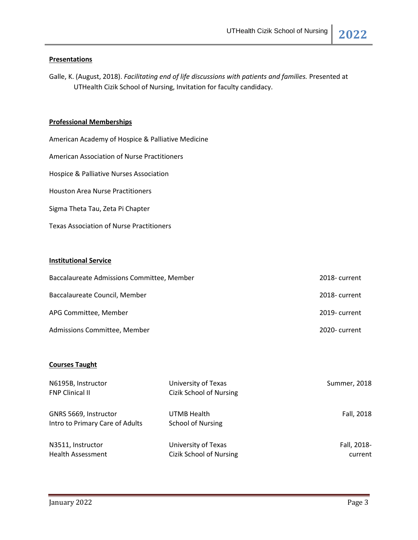### **Presentations**

Galle, K. (August, 2018). *Facilitating end of life discussions with patients and families.* Presented at UTHealth Cizik School of Nursing, Invitation for faculty candidacy.

### **Professional Memberships**

American Academy of Hospice & Palliative Medicine American Association of Nurse Practitioners Hospice & Palliative Nurses Association Houston Area Nurse Practitioners Sigma Theta Tau, Zeta Pi Chapter Texas Association of Nurse Practitioners

# **Institutional Service**

| Baccalaureate Admissions Committee, Member | 2018-current  |
|--------------------------------------------|---------------|
| Baccalaureate Council, Member              | 2018-current  |
| APG Committee, Member                      | 2019- current |
| Admissions Committee, Member               | 2020-current  |

### **Courses Taught**

| N6195B, Instructor              | University of Texas            | Summer, 2018 |
|---------------------------------|--------------------------------|--------------|
| <b>FNP Clinical II</b>          | <b>Cizik School of Nursing</b> |              |
| GNRS 5669, Instructor           | UTMB Health                    | Fall, 2018   |
| Intro to Primary Care of Adults | <b>School of Nursing</b>       |              |
| N3511, Instructor               | University of Texas            | Fall, 2018-  |
| <b>Health Assessment</b>        | <b>Cizik School of Nursing</b> | current      |